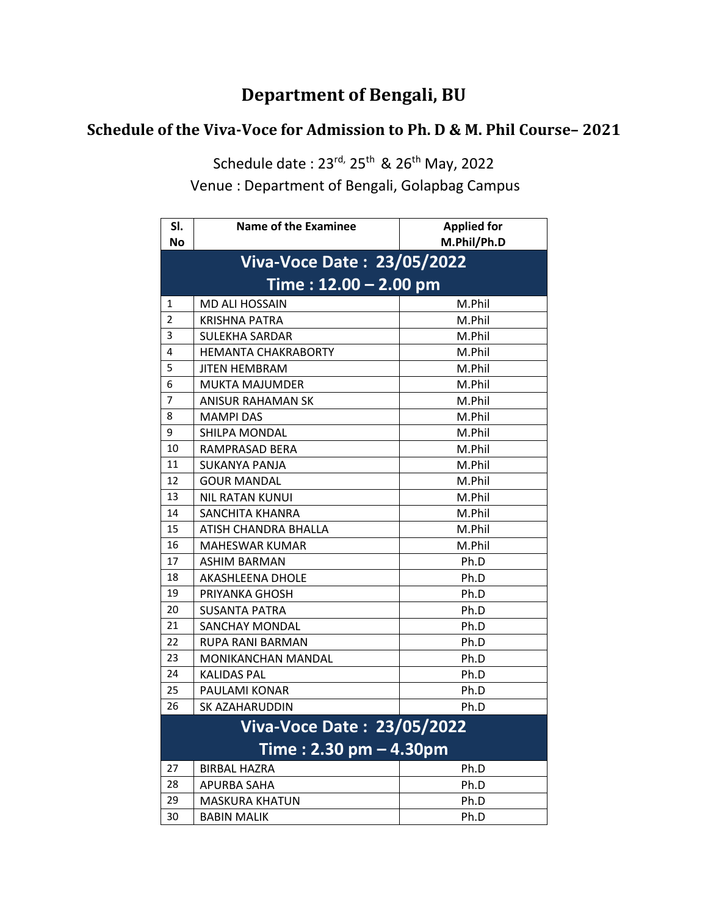## **Department of Bengali, BU**

## **Schedule of the Viva-Voce for Admission to Ph. D & M. Phil Course– 2021**

Schedule date : 23<sup>rd,</sup> 25<sup>th</sup> & 26<sup>th</sup> May, 2022

Venue : Department of Bengali, Golapbag Campus **23/05/2022** 

| SI.                               | <b>Name of the Examinee</b>       | <b>Applied for</b> |  |  |  |
|-----------------------------------|-----------------------------------|--------------------|--|--|--|
| <b>No</b>                         |                                   | M.Phil/Ph.D        |  |  |  |
|                                   | <b>Viva-Voce Date: 23/05/2022</b> |                    |  |  |  |
| $Time: 12.00 - 2.00 pm$           |                                   |                    |  |  |  |
| 1                                 | <b>MD ALI HOSSAIN</b>             | M.Phil             |  |  |  |
| $\overline{2}$                    | <b>KRISHNA PATRA</b>              | M.Phil             |  |  |  |
| 3                                 | <b>SULEKHA SARDAR</b>             | M.Phil             |  |  |  |
| 4                                 | <b>HEMANTA CHAKRABORTY</b>        | M.Phil             |  |  |  |
| 5                                 | <b>JITEN HEMBRAM</b>              | M.Phil             |  |  |  |
| 6                                 | <b>MUKTA MAJUMDER</b>             | M.Phil             |  |  |  |
| $\overline{7}$                    | ANISUR RAHAMAN SK                 | M.Phil             |  |  |  |
| 8                                 | <b>MAMPI DAS</b>                  | M.Phil             |  |  |  |
| 9                                 | <b>SHILPA MONDAL</b>              | M.Phil             |  |  |  |
| 10                                | RAMPRASAD BERA                    | M.Phil             |  |  |  |
| 11                                | SUKANYA PANJA                     | M.Phil             |  |  |  |
| 12                                | <b>GOUR MANDAL</b>                | M.Phil             |  |  |  |
| 13                                | <b>NIL RATAN KUNUI</b>            | M.Phil             |  |  |  |
| 14                                | SANCHITA KHANRA                   | M.Phil             |  |  |  |
| 15                                | ATISH CHANDRA BHALLA              | M.Phil             |  |  |  |
| 16                                | <b>MAHESWAR KUMAR</b>             | M.Phil             |  |  |  |
| 17                                | <b>ASHIM BARMAN</b>               | Ph.D               |  |  |  |
| 18                                | AKASHLEENA DHOLE                  | Ph.D               |  |  |  |
| 19                                | PRIYANKA GHOSH                    | Ph.D               |  |  |  |
| 20                                | <b>SUSANTA PATRA</b>              | Ph.D               |  |  |  |
| 21                                | <b>SANCHAY MONDAL</b>             | Ph.D               |  |  |  |
| 22                                | RUPA RANI BARMAN                  | Ph.D               |  |  |  |
| 23                                | <b>MONIKANCHAN MANDAL</b>         | Ph.D               |  |  |  |
| 24                                | <b>KALIDAS PAL</b>                | Ph.D               |  |  |  |
| 25                                | PAULAMI KONAR                     | Ph.D               |  |  |  |
| 26                                | SK AZAHARUDDIN                    | Ph.D               |  |  |  |
| <b>Viva-Voce Date: 23/05/2022</b> |                                   |                    |  |  |  |
| Time: 2.30 pm - 4.30pm            |                                   |                    |  |  |  |
| 27                                | BIRBAL HAZRA                      | Ph.D               |  |  |  |
| 28                                | <b>APURBA SAHA</b>                | Ph.D               |  |  |  |
| 29                                | <b>MASKURA KHATUN</b>             | Ph.D               |  |  |  |
| 30                                | <b>BABIN MALIK</b>                | Ph.D               |  |  |  |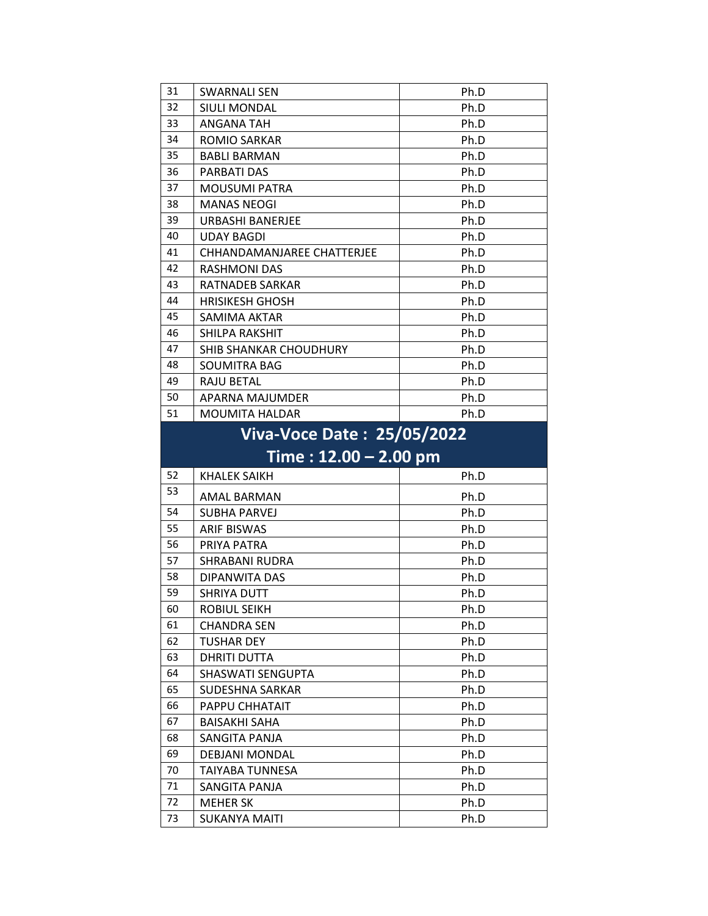| 31                                                          | <b>SWARNALI SEN</b>           | Ph.D |
|-------------------------------------------------------------|-------------------------------|------|
| 32                                                          | <b>SIULI MONDAL</b>           | Ph.D |
| 33                                                          | <b>ANGANA TAH</b>             | Ph.D |
| 34                                                          | ROMIO SARKAR                  | Ph.D |
| 35                                                          | <b>BABLI BARMAN</b>           | Ph.D |
| 36                                                          | <b>PARBATI DAS</b>            | Ph.D |
| 37                                                          | <b>MOUSUMI PATRA</b>          | Ph.D |
| 38                                                          | <b>MANAS NEOGI</b>            | Ph.D |
| 39                                                          | <b>URBASHI BANERJEE</b>       | Ph.D |
| 40                                                          | <b>UDAY BAGDI</b>             | Ph.D |
| 41                                                          | CHHANDAMANJAREE CHATTERJEE    | Ph.D |
| 42                                                          | <b>RASHMONI DAS</b>           | Ph.D |
| 43                                                          | <b>RATNADEB SARKAR</b>        | Ph.D |
| 44                                                          | <b>HRISIKESH GHOSH</b>        | Ph.D |
| 45                                                          | <b>SAMIMA AKTAR</b>           | Ph.D |
| 46                                                          | SHILPA RAKSHIT                | Ph.D |
| 47                                                          | <b>SHIB SHANKAR CHOUDHURY</b> | Ph.D |
| 48                                                          | SOUMITRA BAG                  | Ph.D |
| 49                                                          | <b>RAJU BETAL</b>             | Ph.D |
| 50                                                          | APARNA MAJUMDER               | Ph.D |
| 51                                                          | <b>MOUMITA HALDAR</b>         | Ph.D |
| <b>Viva-Voce Date: 25/05/2022</b><br>Time : 12.00 - 2.00 pm |                               |      |

| Time: $12.00 - 2.00$ pm |            |              |  |
|-------------------------|------------|--------------|--|
|                         | $\vert$ 52 | KHALEK SAIKH |  |
|                         |            |              |  |

| 34 | KHALEK SAIKH           | PN.D |
|----|------------------------|------|
| 53 | AMAL BARMAN            | Ph.D |
| 54 | SUBHA PARVEJ           | Ph.D |
| 55 | <b>ARIF BISWAS</b>     | Ph.D |
| 56 | PRIYA PATRA            | Ph.D |
| 57 | SHRABANI RUDRA         | Ph.D |
| 58 | DIPANWITA DAS          | Ph.D |
| 59 | SHRIYA DUTT            | Ph.D |
| 60 | ROBIUL SEIKH           | Ph.D |
| 61 | <b>CHANDRA SEN</b>     | Ph.D |
| 62 | <b>TUSHAR DEY</b>      | Ph.D |
| 63 | <b>DHRITI DUTTA</b>    | Ph.D |
| 64 | SHASWATI SENGUPTA      | Ph.D |
| 65 | <b>SUDESHNA SARKAR</b> | Ph.D |
| 66 | PAPPU CHHATAIT         | Ph.D |
| 67 | BAISAKHI SAHA          | Ph.D |
| 68 | SANGITA PANJA          | Ph.D |
| 69 | DEBJANI MONDAL         | Ph.D |
| 70 | TAIYABA TUNNESA        | Ph.D |
| 71 | SANGITA PANJA          | Ph.D |
| 72 | <b>MEHER SK</b>        | Ph.D |
| 73 | SUKANYA MAITI          | Ph.D |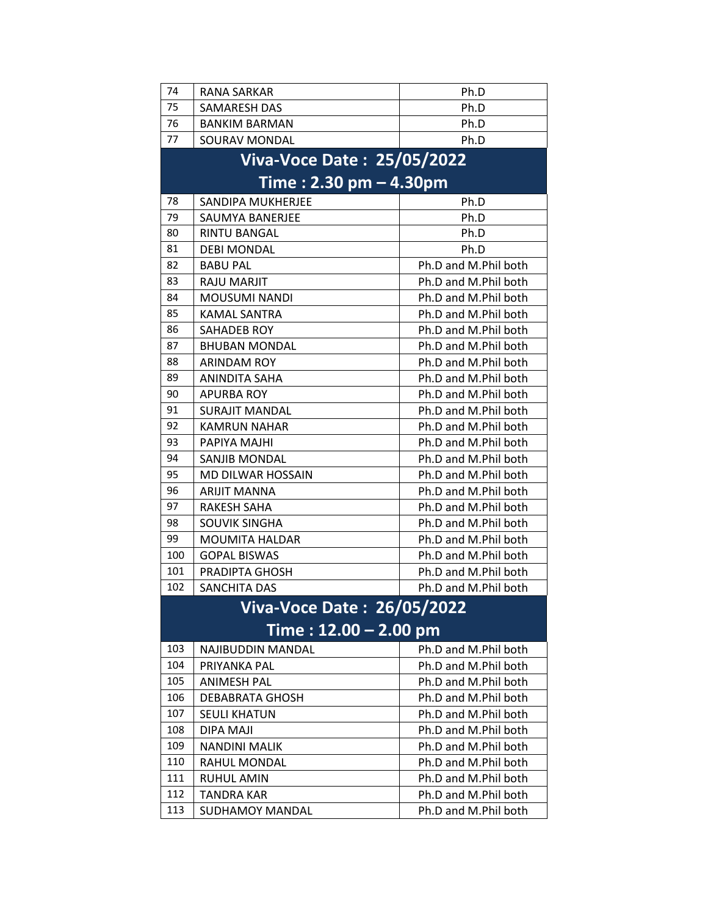| 74                      | <b>RANA SARKAR</b>                | Ph.D                 |  |  |
|-------------------------|-----------------------------------|----------------------|--|--|
| 75                      | <b>SAMARESH DAS</b>               | Ph.D                 |  |  |
| 76                      | <b>BANKIM BARMAN</b>              | Ph.D                 |  |  |
| 77                      | SOURAV MONDAL                     | Ph.D                 |  |  |
|                         | <b>Viva-Voce Date: 25/05/2022</b> |                      |  |  |
|                         |                                   |                      |  |  |
|                         | Time: 2.30 pm - 4.30pm            |                      |  |  |
| 78                      | SANDIPA MUKHERJEE                 | Ph.D                 |  |  |
| 79                      | SAUMYA BANERJEE                   | Ph.D                 |  |  |
| 80                      | RINTU BANGAL                      | Ph.D                 |  |  |
| 81                      | <b>DEBI MONDAL</b>                | Ph.D                 |  |  |
| 82                      | <b>BABU PAL</b>                   | Ph.D and M.Phil both |  |  |
| 83                      | RAJU MARJIT                       | Ph.D and M.Phil both |  |  |
| 84                      | <b>MOUSUMI NANDI</b>              | Ph.D and M.Phil both |  |  |
| 85                      | <b>KAMAL SANTRA</b>               | Ph.D and M.Phil both |  |  |
| 86                      | <b>SAHADEB ROY</b>                | Ph.D and M.Phil both |  |  |
| 87                      | <b>BHUBAN MONDAL</b>              | Ph.D and M.Phil both |  |  |
| 88                      | <b>ARINDAM ROY</b>                | Ph.D and M.Phil both |  |  |
| 89                      | ANINDITA SAHA                     | Ph.D and M.Phil both |  |  |
| 90                      | <b>APURBA ROY</b>                 | Ph.D and M.Phil both |  |  |
| 91                      | <b>SURAJIT MANDAL</b>             | Ph.D and M.Phil both |  |  |
| 92                      | <b>KAMRUN NAHAR</b>               | Ph.D and M.Phil both |  |  |
| 93                      | PAPIYA MAJHI                      | Ph.D and M.Phil both |  |  |
| 94                      | <b>SANJIB MONDAL</b>              | Ph.D and M.Phil both |  |  |
| 95                      | MD DILWAR HOSSAIN                 | Ph.D and M.Phil both |  |  |
| 96                      | <b>ARIJIT MANNA</b>               | Ph.D and M.Phil both |  |  |
| 97                      | RAKESH SAHA                       | Ph.D and M.Phil both |  |  |
| 98                      | <b>SOUVIK SINGHA</b>              | Ph.D and M.Phil both |  |  |
| 99                      | <b>MOUMITA HALDAR</b>             | Ph.D and M.Phil both |  |  |
| 100                     | <b>GOPAL BISWAS</b>               | Ph.D and M.Phil both |  |  |
| 101                     | PRADIPTA GHOSH                    | Ph.D and M.Phil both |  |  |
| 102                     | <b>SANCHITA DAS</b>               | Ph.D and M.Phil both |  |  |
|                         | Viva-Voce Date : 26/05/2022       |                      |  |  |
| Time: $12.00 - 2.00$ pm |                                   |                      |  |  |
| 103                     | NAJIBUDDIN MANDAL                 | Ph.D and M.Phil both |  |  |
| 104                     | PRIYANKA PAL                      | Ph.D and M.Phil both |  |  |
| 105                     | <b>ANIMESH PAL</b>                | Ph.D and M.Phil both |  |  |
| 106                     | <b>DEBABRATA GHOSH</b>            | Ph.D and M.Phil both |  |  |
| 107                     | <b>SEULI KHATUN</b>               | Ph.D and M.Phil both |  |  |
| 108                     | DIPA MAJI                         | Ph.D and M.Phil both |  |  |
| 109                     | <b>NANDINI MALIK</b>              | Ph.D and M.Phil both |  |  |
| 110                     | RAHUL MONDAL                      | Ph.D and M.Phil both |  |  |
| 111                     | RUHUL AMIN                        | Ph.D and M.Phil both |  |  |
| 112                     | <b>TANDRA KAR</b>                 | Ph.D and M.Phil both |  |  |
| 113                     | <b>SUDHAMOY MANDAL</b>            | Ph.D and M.Phil both |  |  |
|                         |                                   |                      |  |  |